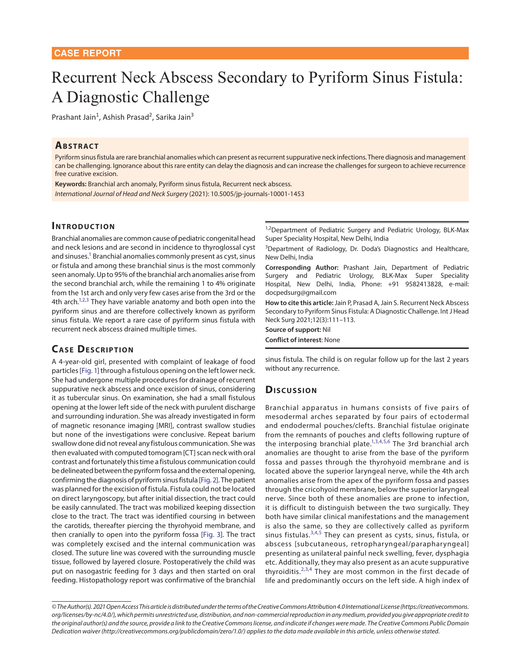# Recurrent Neck Abscess Secondary to Pyriform Sinus Fistula: A Diagnostic Challenge

Prashant Jain<sup>1</sup>, Ashish Prasad<sup>2</sup>, Sarika Jain<sup>3</sup>

### **ABSTRACT**

Pyriform sinus fistula are rare branchial anomalies which can present as recurrent suppurative neck infections. There diagnosis and management can be challenging. Ignorance about this rare entity can delay the diagnosis and can increase the challenges for surgeon to achieve recurrence free curative excision.

**Keywords:** Branchial arch anomaly, Pyriform sinus fistula, Recurrent neck abscess. *International Journal of Head and Neck Surgery* (2021): 10.5005/jp-journals-10001-1453

## **INTRODUCTION**

<span id="page-0-0"></span>Branchial anomalies are common cause of pediatric congenital head and neck lesions and are second in incidence to thyroglossal cyst and sinuses.<sup>1</sup> Branchial anomalies commonly present as cyst, sinus or fistula and among these branchial sinus is the most commonly seen anomaly. Up to 95% of the branchial arch anomalies arise from the second branchial arch, while the remaining 1 to 4% originate from the 1st arch and only very few cases arise from the 3rd or the 4th arch.<sup>1[,2,](#page-1-5)[3](#page-1-1)</sup> They have variable anatomy and both open into the pyriform sinus and are therefore collectively known as pyriform sinus fistula. We report a rare case of pyriform sinus fistula with recurrent neck abscess drained multiple times.

# <span id="page-0-2"></span><span id="page-0-1"></span>**CASE DESCRIPTION**

<span id="page-0-6"></span>A 4-year-old girl, presented with complaint of leakage of food particles [[Fig. 1](#page-1-6)] through a fistulous opening on the left lower neck. She had undergone multiple procedures for drainage of recurrent suppurative neck abscess and once excision of sinus, considering it as tubercular sinus. On examination, she had a small fistulous opening at the lower left side of the neck with purulent discharge and surrounding induration. She was already investigated in form of magnetic resonance imaging [MRI], contrast swallow studies but none of the investigations were conclusive. Repeat barium swallow done did not reveal any fistulous communication. She was then evaluated with computed tomogram [CT] scan neck with oral contrast and fortunately this time a fistulous communication could be delineated between the pyriform fossa and the external opening, confirming the diagnosis of pyriform sinus fistula [[Fig. 2](#page-1-7)]. The patient was planned for the excision of fistula. Fistula could not be located on direct laryngoscopy, but after initial dissection, the tract could be easily cannulated. The tract was mobilized keeping dissection close to the tract. The tract was identified coursing in between the carotids, thereafter piercing the thyrohyoid membrane, and then cranially to open into the pyriform fossa [\[Fig. 3](#page-1-8)]. The tract was completely excised and the internal communication was closed. The suture line was covered with the surrounding muscle tissue, followed by layered closure. Postoperatively the child was put on nasogastric feeding for 3 days and then started on oral feeding. Histopathology report was confirmative of the branchial

<sup>1,2</sup>Department of Pediatric Surgery and Pediatric Urology, BLK-Max Super Speciality Hospital, New Delhi, India

<sup>3</sup>Department of Radiology, Dr. Doda's Diagnostics and Healthcare, New Delhi, India

**Corresponding Author:** Prashant Jain, Department of Pediatric Surgery and Pediatric Urology, BLK-Max Super Speciality Hospital, New Delhi, India, Phone: +91 9582413828, e-mail: docpedsurg@gmail.com

**How to cite this article:** Jain P, Prasad A, Jain S. Recurrent Neck Abscess Secondary to Pyriform Sinus Fistula: A Diagnostic Challenge. Int J Head Neck Surg 2021;12(3):111–113.

**Source of support:** Nil **Conflict of interest**: None

sinus fistula. The child is on regular follow up for the last 2 years without any recurrence.

### **Discussion**

<span id="page-0-8"></span><span id="page-0-7"></span><span id="page-0-5"></span><span id="page-0-4"></span><span id="page-0-3"></span>Branchial apparatus in humans consists of five pairs of mesodermal arches separated by four pairs of ectodermal and endodermal pouches/clefts. Branchial fistulae originate from the remnants of pouches and clefts following rupture of the interposing branchial plate.<sup>[1,](#page-1-0)[3,](#page-1-1)[4,](#page-1-2)[5](#page-1-3),[6](#page-1-4)</sup> The 3rd branchial arch anomalies are thought to arise from the base of the pyriform fossa and passes through the thyrohyoid membrane and is located above the superior laryngeal nerve, while the 4th arch anomalies arise from the apex of the pyriform fossa and passes through the cricohyoid membrane, below the superior laryngeal nerve. Since both of these anomalies are prone to infection, it is difficult to distinguish between the two surgically. They both have similar clinical manifestations and the management is also the same, so they are collectively called as pyriform sinus fistulas.<sup>[3,](#page-1-1)[4,](#page-1-2)[5](#page-1-3)</sup> They can present as cysts, sinus, fistula, or abscess [subcutaneous, retropharyngeal/parapharyngeal] presenting as unilateral painful neck swelling, fever, dysphagia etc. Additionally, they may also present as an acute suppurative thyroiditis. $2,3,4$  $2,3,4$  $2,3,4$  $2,3,4$  $2,3,4$  They are most common in the first decade of life and predominantly occurs on the left side. A high index of

*<sup>©</sup> The Author(s). 2021 Open Access This article is distributed under the terms of the Creative Commons Attribution 4.0 International License (https://creativecommons. org/licenses/by-nc/4.0/), which permits unrestricted use, distribution, and non-commercial reproduction in any medium, provided you give appropriate credit to the original author(s) and the source, provide a link to the Creative Commons license, and indicate if changes were made. The Creative Commons Public Domain Dedication waiver (http://creativecommons.org/publicdomain/zero/1.0/) applies to the data made available in this article, unless otherwise stated.*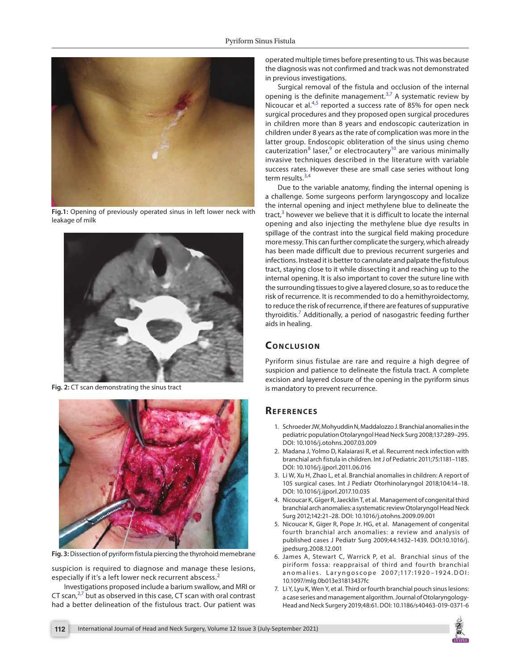

**[Fig.1:](#page-0-6)** Opening of previously operated sinus in left lower neck with leakage of milk

<span id="page-1-6"></span>

**[Fig. 2:](#page-0-7)** CT scan demonstrating the sinus tract

<span id="page-1-7"></span>

**[Fig. 3:](#page-0-8)** Dissection of pyriform fistula piercing the thyrohoid memebrane

<span id="page-1-8"></span>suspicion is required to diagnose and manage these lesions, especially if it's a left lower neck recurrent abscess.<sup>[2](#page-1-5)</sup>

<span id="page-1-10"></span>Investigations proposed include a barium swallow, and MRI or CT scan, $27$  $27$  but as observed in this case, CT scan with oral contrast had a better delineation of the fistulous tract. Our patient was operated multiple times before presenting to us. This was because the diagnosis was not confirmed and track was not demonstrated in previous investigations.

Surgical removal of the fistula and occlusion of the internal opening is the definite management. $3,7$  $3,7$  $3,7$  A systematic review by Nicoucar et al.<sup>[4,](#page-1-2)[5](#page-1-3)</sup> reported a success rate of 85% for open neck surgical procedures and they proposed open surgical procedures in children more than 8 years and endoscopic cauterization in children under 8 years as the rate of complication was more in the latter group. Endoscopic obliteration of the sinus using chemo cauterization<sup>[8](#page-2-0)</sup> laser,  $9$  or electrocautery<sup>10</sup> are various minimally invasive techniques described in the literature with variable success rates. However these are small case series without long term results.<sup>[3,](#page-1-1)[4](#page-1-2)</sup>

<span id="page-1-13"></span><span id="page-1-12"></span><span id="page-1-11"></span>Due to the variable anatomy, finding the internal opening is a challenge. Some surgeons perform laryngoscopy and localize the internal opening and inject methylene blue to delineate the tract, $3$  however we believe that it is difficult to locate the internal opening and also injecting the methylene blue dye results in spillage of the contrast into the surgical field making procedure more messy. This can further complicate the surgery, which already has been made difficult due to previous recurrent surgeries and infections. Instead it is better to cannulate and palpate the fistulous tract, staying close to it while dissecting it and reaching up to the internal opening. It is also important to cover the suture line with the surrounding tissues to give a layered closure, so as to reduce the risk of recurrence. It is recommended to do a hemithyroidectomy, to reduce the risk of recurrence, if there are features of suppurative thyroiditis.[7](#page-1-9) Additionally, a period of nasogastric feeding further aids in healing.

## **CONCLUSION**

Pyriform sinus fistulae are rare and require a high degree of suspicion and patience to delineate the fistula tract. A complete excision and layered closure of the opening in the pyriform sinus is mandatory to prevent recurrence.

## **Re f e r e n c e s**

- <span id="page-1-0"></span>[1.](#page-0-0) Schroeder JW, Mohyuddin N, Maddalozzo J. Branchial anomalies in the pediatric population Otolaryngol Head Neck Surg 2008;137:289–295. DOI: [10.1016/j.otohns.2007.03.009](https://doi.org/10.1016/j.otohns.2007.03.009)
- <span id="page-1-5"></span>[2.](#page-0-1) Madana J, Yolmo D, Kalaiarasi R, et al. Recurrent neck infection with branchial arch fistula in children. Int J of Pediatric 2011;75:1181–1185. DOI: [10.1016/j.ijporl.2011.06.016](https://doi.org/10.1016/j.ijporl.2011.06.016)
- <span id="page-1-1"></span>[3.](#page-0-2) Li W, Xu H, Zhao L, et al. Branchial anomalies in children: A report of 105 surgical cases. Int J Pediatr Otorhinolaryngol 2018;104:14–18. DOI: [10.1016/j.ijporl.2017.10.035](https://doi.org/10.1016/j.ijporl.2017.10.035)
- <span id="page-1-2"></span>[4.](#page-0-3) Nicoucar K, Giger R, Jaecklin T, et al. Management of congenital third branchial arch anomalies: a systematic review Otolaryngol Head Neck Surg 2012;142:21–28. DOI: [10.1016/j.otohns.2009.09.001](https://doi.org/10.1016/j.otohns.2009.09.001)
- <span id="page-1-3"></span>[5.](#page-0-4) Nicoucar K, Giger R, Pope Jr. HG, et al. Management of congenital fourth branchial arch anomalies: a review and analysis of published cases J Pediatr Surg 2009;44:1432–1439. DOI:[10.1016/j.](https://doi.org/10.1016/j.jpedsurg.2008.12.001) [jpedsurg.2008.12.001](https://doi.org/10.1016/j.jpedsurg.2008.12.001)
- <span id="page-1-4"></span>[6.](#page-0-5) James A, Stewart C, Warrick P, et al. Branchial sinus of the piriform fossa: reappraisal of third and fourth branchial anomalies. Laryngoscope 2007;117:1920-1924.DOI: [10.1097/mlg.0b013e31813437fc](https://doi.org/10.1097/mlg.0b013e31813437fc)
- <span id="page-1-9"></span>[7.](#page-1-10) Li Y, Lyu K, Wen Y, et al. Third or fourth branchial pouch sinus lesions: a case series and management algorithm. Journal of Otolaryngology-Head and Neck Surgery 2019;48:61. DOI: [10.1186/s40463-019-0371-6](https://doi.org/10.1186/s40463-019-0371-6)